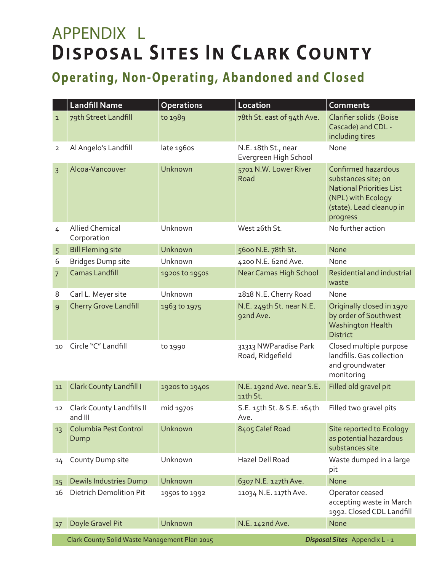## APPENDIX L **DISPOSAL SITES IN CLARK COUNTY**

## **Operating, Non-Operating, Abandoned and Closed**

| 79th Street Landfill<br>78th St. east of 94th Ave.<br>Clarifier solids (Boise<br>to 1989<br>$\mathbf{1}$<br>Cascade) and CDL -<br>including tires<br>late 1960s<br>Al Angelo's Landfill<br>None<br>N.E. 18th St., near<br>$\overline{2}$<br>Evergreen High School<br>5701 N.W. Lower River<br>Confirmed hazardous<br>Alcoa-Vancouver<br>Unknown<br>$\overline{3}$<br>Road<br>substances site; on<br><b>National Priorities List</b><br>(NPL) with Ecology<br>(state). Lead cleanup in<br>progress<br>No further action<br><b>Allied Chemical</b><br>Unknown<br>West 26th St.<br>4<br>Corporation<br><b>Bill Fleming site</b><br>Unknown<br>5600 N.E. 78th St.<br>None<br>5<br><b>Bridges Dump site</b><br>Unknown<br>4200 N.E. 62nd Ave.<br>None<br>6<br><b>Camas Landfill</b><br>Near Camas High School<br>1920s to 1950s<br>$\overline{7}$<br>waste<br>8<br>Carl L. Meyer site<br>Unknown<br>2818 N.E. Cherry Road<br>None<br><b>Cherry Grove Landfill</b><br>N.E. 249th St. near N.E.<br>Originally closed in 1970<br>1963 to 1975<br>9<br>by order of Southwest<br>92nd Ave.<br>Washington Health<br><b>District</b><br>Circle "C" Landfill<br>Closed multiple purpose<br>31313 NWParadise Park<br>to 1990<br>10<br>landfills. Gas collection<br>Road, Ridgefield<br>and groundwater<br>monitoring |    | <b>Landfill Name</b>                          | <b>Operations</b> | Location        | <b>Comments</b>                                       |
|--------------------------------------------------------------------------------------------------------------------------------------------------------------------------------------------------------------------------------------------------------------------------------------------------------------------------------------------------------------------------------------------------------------------------------------------------------------------------------------------------------------------------------------------------------------------------------------------------------------------------------------------------------------------------------------------------------------------------------------------------------------------------------------------------------------------------------------------------------------------------------------------------------------------------------------------------------------------------------------------------------------------------------------------------------------------------------------------------------------------------------------------------------------------------------------------------------------------------------------------------------------------------------------------------------|----|-----------------------------------------------|-------------------|-----------------|-------------------------------------------------------|
|                                                                                                                                                                                                                                                                                                                                                                                                                                                                                                                                                                                                                                                                                                                                                                                                                                                                                                                                                                                                                                                                                                                                                                                                                                                                                                        |    |                                               |                   |                 |                                                       |
|                                                                                                                                                                                                                                                                                                                                                                                                                                                                                                                                                                                                                                                                                                                                                                                                                                                                                                                                                                                                                                                                                                                                                                                                                                                                                                        |    |                                               |                   |                 |                                                       |
|                                                                                                                                                                                                                                                                                                                                                                                                                                                                                                                                                                                                                                                                                                                                                                                                                                                                                                                                                                                                                                                                                                                                                                                                                                                                                                        |    |                                               |                   |                 |                                                       |
|                                                                                                                                                                                                                                                                                                                                                                                                                                                                                                                                                                                                                                                                                                                                                                                                                                                                                                                                                                                                                                                                                                                                                                                                                                                                                                        |    |                                               |                   |                 |                                                       |
|                                                                                                                                                                                                                                                                                                                                                                                                                                                                                                                                                                                                                                                                                                                                                                                                                                                                                                                                                                                                                                                                                                                                                                                                                                                                                                        |    |                                               |                   |                 |                                                       |
|                                                                                                                                                                                                                                                                                                                                                                                                                                                                                                                                                                                                                                                                                                                                                                                                                                                                                                                                                                                                                                                                                                                                                                                                                                                                                                        |    |                                               |                   |                 |                                                       |
|                                                                                                                                                                                                                                                                                                                                                                                                                                                                                                                                                                                                                                                                                                                                                                                                                                                                                                                                                                                                                                                                                                                                                                                                                                                                                                        |    |                                               |                   |                 | <b>Residential and industrial</b>                     |
|                                                                                                                                                                                                                                                                                                                                                                                                                                                                                                                                                                                                                                                                                                                                                                                                                                                                                                                                                                                                                                                                                                                                                                                                                                                                                                        |    |                                               |                   |                 |                                                       |
|                                                                                                                                                                                                                                                                                                                                                                                                                                                                                                                                                                                                                                                                                                                                                                                                                                                                                                                                                                                                                                                                                                                                                                                                                                                                                                        |    |                                               |                   |                 |                                                       |
|                                                                                                                                                                                                                                                                                                                                                                                                                                                                                                                                                                                                                                                                                                                                                                                                                                                                                                                                                                                                                                                                                                                                                                                                                                                                                                        |    |                                               |                   |                 |                                                       |
| Filled old gravel pit<br>N.E. 192nd Ave. near S.E.<br><b>Clark County Landfill I</b><br>1920s to 1940s<br>11<br>11th St.                                                                                                                                                                                                                                                                                                                                                                                                                                                                                                                                                                                                                                                                                                                                                                                                                                                                                                                                                                                                                                                                                                                                                                               |    |                                               |                   |                 |                                                       |
| S.E. 15th St. & S.E. 164th<br>Filled two gravel pits<br>Clark County Landfills II<br>mid 1970s<br>12<br>and III<br>Ave.                                                                                                                                                                                                                                                                                                                                                                                                                                                                                                                                                                                                                                                                                                                                                                                                                                                                                                                                                                                                                                                                                                                                                                                |    |                                               |                   |                 |                                                       |
| Unknown<br>Columbia Pest Control<br>8405 Calef Road<br>Site reported to Ecology<br>13<br>as potential hazardous<br>Dump<br>substances site                                                                                                                                                                                                                                                                                                                                                                                                                                                                                                                                                                                                                                                                                                                                                                                                                                                                                                                                                                                                                                                                                                                                                             |    |                                               |                   |                 |                                                       |
| Unknown<br>Hazel Dell Road<br>Waste dumped in a large<br>County Dump site<br>14<br>pit                                                                                                                                                                                                                                                                                                                                                                                                                                                                                                                                                                                                                                                                                                                                                                                                                                                                                                                                                                                                                                                                                                                                                                                                                 |    |                                               |                   |                 |                                                       |
| <b>Dewils Industries Dump</b><br>Unknown<br>6307 N.E. 127th Ave.<br>None<br>15                                                                                                                                                                                                                                                                                                                                                                                                                                                                                                                                                                                                                                                                                                                                                                                                                                                                                                                                                                                                                                                                                                                                                                                                                         |    |                                               |                   |                 |                                                       |
| <b>Dietrich Demolition Pit</b><br>11034 N.E. 117th Ave.<br>Operator ceased<br>16<br>1950s to 1992                                                                                                                                                                                                                                                                                                                                                                                                                                                                                                                                                                                                                                                                                                                                                                                                                                                                                                                                                                                                                                                                                                                                                                                                      |    |                                               |                   |                 | accepting waste in March<br>1992. Closed CDL Landfill |
|                                                                                                                                                                                                                                                                                                                                                                                                                                                                                                                                                                                                                                                                                                                                                                                                                                                                                                                                                                                                                                                                                                                                                                                                                                                                                                        | 17 | Doyle Gravel Pit                              | Unknown           | N.E. 142nd Ave. | None                                                  |
|                                                                                                                                                                                                                                                                                                                                                                                                                                                                                                                                                                                                                                                                                                                                                                                                                                                                                                                                                                                                                                                                                                                                                                                                                                                                                                        |    |                                               |                   |                 |                                                       |
|                                                                                                                                                                                                                                                                                                                                                                                                                                                                                                                                                                                                                                                                                                                                                                                                                                                                                                                                                                                                                                                                                                                                                                                                                                                                                                        |    |                                               |                   |                 |                                                       |
|                                                                                                                                                                                                                                                                                                                                                                                                                                                                                                                                                                                                                                                                                                                                                                                                                                                                                                                                                                                                                                                                                                                                                                                                                                                                                                        |    | Clark County Solid Waste Management Plan 2015 |                   |                 | Disposal Sites Appendix L - 1                         |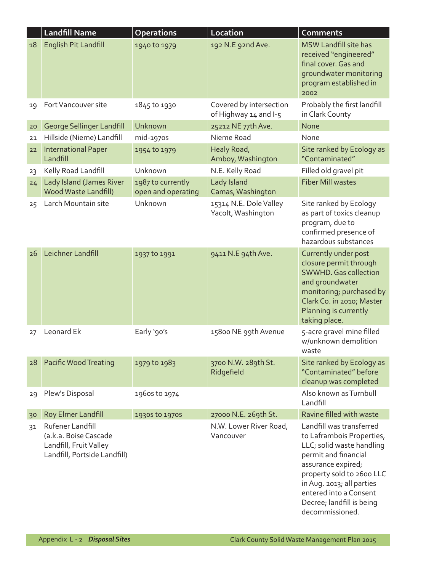|    | <b>Landfill Name</b>                                                                                | <b>Operations</b>                       | Location                                         | <b>Comments</b>                                                                                                                                                                                                                                                      |
|----|-----------------------------------------------------------------------------------------------------|-----------------------------------------|--------------------------------------------------|----------------------------------------------------------------------------------------------------------------------------------------------------------------------------------------------------------------------------------------------------------------------|
| 18 | English Pit Landfill                                                                                | 1940 to 1979                            | 192 N.E 92nd Ave.                                | <b>MSW Landfill site has</b><br>received "engineered"<br>final cover. Gas and<br>groundwater monitoring<br>program established in<br>2002                                                                                                                            |
| 19 | Fort Vancouver site                                                                                 | 1845 to 1930                            | Covered by intersection<br>of Highway 14 and I-5 | Probably the first landfill<br>in Clark County                                                                                                                                                                                                                       |
| 20 | George Sellinger Landfill                                                                           | Unknown                                 | 25212 NE 77th Ave.                               | <b>None</b>                                                                                                                                                                                                                                                          |
| 21 | Hillside (Nieme) Landfill                                                                           | mid-1970s                               | Nieme Road                                       | None                                                                                                                                                                                                                                                                 |
| 22 | <b>International Paper</b><br>Landfill                                                              | 1954 to 1979                            | Healy Road,<br>Amboy, Washington                 | Site ranked by Ecology as<br>"Contaminated"                                                                                                                                                                                                                          |
| 23 | Kelly Road Landfill                                                                                 | Unknown                                 | N.E. Kelly Road                                  | Filled old gravel pit                                                                                                                                                                                                                                                |
| 24 | Lady Island (James River<br><b>Wood Waste Landfill)</b>                                             | 1987 to currently<br>open and operating | Lady Island<br>Camas, Washington                 | <b>Fiber Mill wastes</b>                                                                                                                                                                                                                                             |
| 25 | Larch Mountain site                                                                                 | Unknown                                 | 15314 N.E. Dole Valley<br>Yacolt, Washington     | Site ranked by Ecology<br>as part of toxics cleanup<br>program, due to<br>confirmed presence of<br>hazardous substances                                                                                                                                              |
| 26 | Leichner Landfill                                                                                   | 1937 to 1991                            | 9411 N.E 94th Ave.                               | Currently under post<br>closure permit through<br><b>SWWHD.</b> Gas collection<br>and groundwater<br>monitoring; purchased by<br>Clark Co. in 2010; Master<br>Planning is currently<br>taking place.                                                                 |
| 27 | Leonard Ek                                                                                          | Early '90's                             | 15800 NE 99th Avenue                             | 5-acre gravel mine filled<br>w/unknown demolition<br>waste                                                                                                                                                                                                           |
| 28 | Pacific Wood Treating                                                                               | 1979 to 1983                            | 3700 N.W. 289th St.<br>Ridgefield                | Site ranked by Ecology as<br>"Contaminated" before<br>cleanup was completed                                                                                                                                                                                          |
| 29 | Plew's Disposal                                                                                     | 1960s to 1974                           |                                                  | Also known as Turnbull<br>Landfill                                                                                                                                                                                                                                   |
| 30 | Roy Elmer Landfill                                                                                  | 1930s to 1970s                          | 27000 N.E. 269th St.                             | Ravine filled with waste                                                                                                                                                                                                                                             |
| 31 | Rufener Landfill<br>(a.k.a. Boise Cascade<br>Landfill, Fruit Valley<br>Landfill, Portside Landfill) |                                         | N.W. Lower River Road,<br>Vancouver              | Landfill was transferred<br>to Laframbois Properties,<br>LLC; solid waste handling<br>permit and financial<br>assurance expired;<br>property sold to 2600 LLC<br>in Aug. 2013; all parties<br>entered into a Consent<br>Decree; landfill is being<br>decommissioned. |